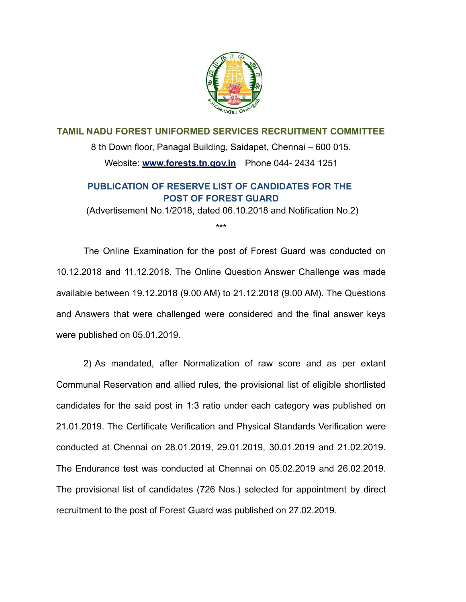

**TAMIL NADU FOREST UNIFORMED SERVICES RECRUITMENT COMMITTEE** 8 th Down floor, Panagal Building, Saidapet, Chennai – 600 015. Website: **[www.forests.tn.gov.in](http://www.forests.tn.gov.in/)** Phone 044- 2434 1251

# **PUBLICATION OF RESERVE LIST OF CANDIDATES FOR THE POST OF FOREST GUARD**

(Advertisement No.1/2018, dated 06.10.2018 and Notification No.2) \*\*\*

The Online Examination for the post of Forest Guard was conducted on 10.12.2018 and 11.12.2018. The Online Question Answer Challenge was made available between 19.12.2018 (9.00 AM) to 21.12.2018 (9.00 AM). The Questions and Answers that were challenged were considered and the final answer keys were published on 05.01.2019.

2) As mandated, after Normalization of raw score and as per extant Communal Reservation and allied rules, the provisional list of eligible shortlisted candidates for the said post in 1:3 ratio under each category was published on 21.01.2019. The Certificate Verification and Physical Standards Verification were conducted at Chennai on 28.01.2019, 29.01.2019, 30.01.2019 and 21.02.2019. The Endurance test was conducted at Chennai on 05.02.2019 and 26.02.2019. The provisional list of candidates (726 Nos.) selected for appointment by direct recruitment to the post of Forest Guard was published on 27.02.2019.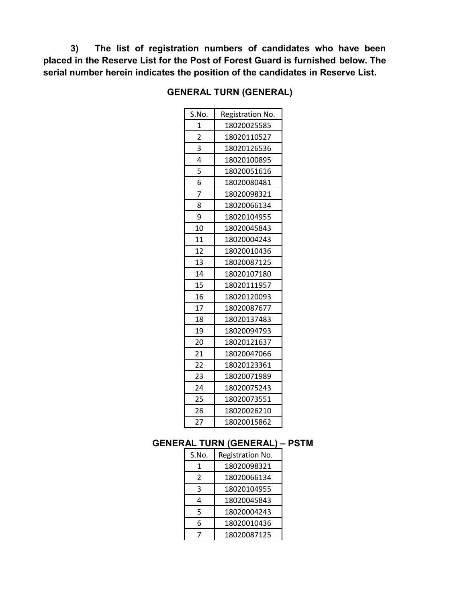**3) The list of registration numbers of candidates who have been placed in the Reserve List for the Post of Forest Guard is furnished below. The serial number herein indicates the position of the candidates in Reserve List.**

| S.No.                   | Registration No. |
|-------------------------|------------------|
| 1                       | 18020025585      |
| $\overline{\mathbf{c}}$ | 18020110527      |
| 3                       | 18020126536      |
| 4                       | 18020100895      |
| 5                       | 18020051616      |
| 6                       | 18020080481      |
| 7                       | 18020098321      |
| 8                       | 18020066134      |
| 9                       | 18020104955      |
| 10                      | 18020045843      |
| 11                      | 18020004243      |
| 12                      | 18020010436      |
| 13                      | 18020087125      |
| 14                      | 18020107180      |
| 15                      | 18020111957      |
| 16                      | 18020120093      |
| 17                      | 18020087677      |
| 18                      | 18020137483      |
| 19                      | 18020094793      |
| 20                      | 18020121637      |
| 21                      | 18020047066      |
| 22                      | 18020123361      |
| 23                      | 18020071989      |
| 24                      | 18020075243      |
| 25                      | 18020073551      |
| 26                      | 18020026210      |
| 27                      | 18020015862      |

# **GENERAL TURN (GENERAL)**

# **GENERAL TURN (GENERAL) – PSTM**

| S.No. | Registration No. |
|-------|------------------|
| 1     | 18020098321      |
| 2     | 18020066134      |
| 3     | 18020104955      |
| 4     | 18020045843      |
| 5     | 18020004243      |
| 6     | 18020010436      |
|       | 18020087125      |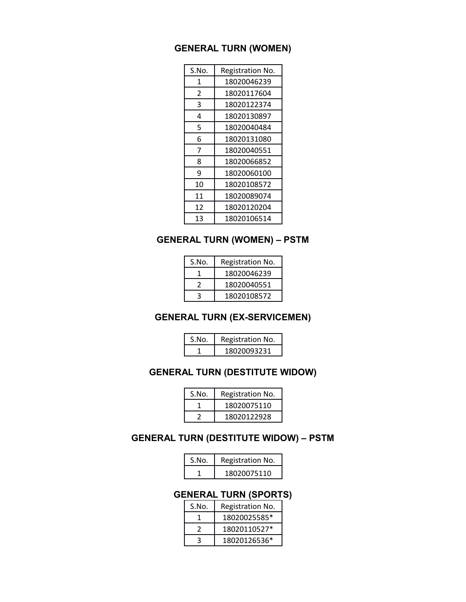# **GENERAL TURN (WOMEN)**

| S.No. | Registration No. |
|-------|------------------|
| 1     | 18020046239      |
| 2     | 18020117604      |
| 3     | 18020122374      |
| 4     | 18020130897      |
| 5     | 18020040484      |
| 6     | 18020131080      |
| 7     | 18020040551      |
| 8     | 18020066852      |
| 9     | 18020060100      |
| 10    | 18020108572      |
| 11    | 18020089074      |
| 12    | 18020120204      |
| 13    | 18020106514      |

# **GENERAL TURN (WOMEN) – PSTM**

| S.No. | Registration No. |
|-------|------------------|
|       | 18020046239      |
|       | 18020040551      |
|       | 18020108572      |

# **GENERAL TURN (EX-SERVICEMEN)**

| S.No. | Registration No. |
|-------|------------------|
|       | 18020093231      |

# **GENERAL TURN (DESTITUTE WIDOW)**

| S.No. | Registration No. |
|-------|------------------|
|       | 18020075110      |
|       | 18020122928      |

# **GENERAL TURN (DESTITUTE WIDOW) – PSTM**

| S.No. | Registration No. |
|-------|------------------|
|       | 18020075110      |

# **GENERAL TURN (SPORTS)**

| S.No. | Registration No. |
|-------|------------------|
|       | 18020025585*     |
| 2     | 18020110527*     |
| 3     | 18020126536*     |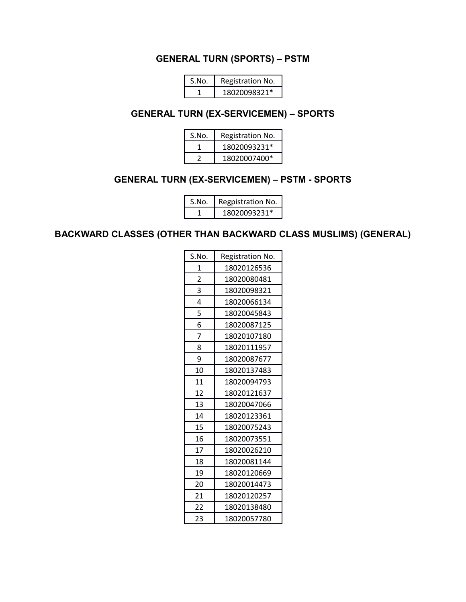### **GENERAL TURN (SPORTS) – PSTM**

| S.No. | Registration No. |
|-------|------------------|
|       | 18020098321*     |

### **GENERAL TURN (EX-SERVICEMEN) – SPORTS**

| S.No. | Registration No. |
|-------|------------------|
|       | 18020093231*     |
|       | 18020007400*     |

# **GENERAL TURN (EX-SERVICEMEN) – PSTM - SPORTS**

| S.No. | Regpistration No. |
|-------|-------------------|
|       | 18020093231*      |

# **BACKWARD CLASSES (OTHER THAN BACKWARD CLASS MUSLIMS) (GENERAL)**

| S.No. | Registration No. |
|-------|------------------|
| 1     | 18020126536      |
| 2     | 18020080481      |
| 3     | 18020098321      |
| 4     | 18020066134      |
| 5     | 18020045843      |
| 6     | 18020087125      |
| 7     | 18020107180      |
| 8     | 18020111957      |
| 9     | 18020087677      |
| 10    | 18020137483      |
| 11    | 18020094793      |
| 12    | 18020121637      |
| 13    | 18020047066      |
| 14    | 18020123361      |
| 15    | 18020075243      |
| 16    | 18020073551      |
| 17    | 18020026210      |
| 18    | 18020081144      |
| 19    | 18020120669      |
| 20    | 18020014473      |
| 21    | 18020120257      |
| 22    | 18020138480      |
| 23    | 18020057780      |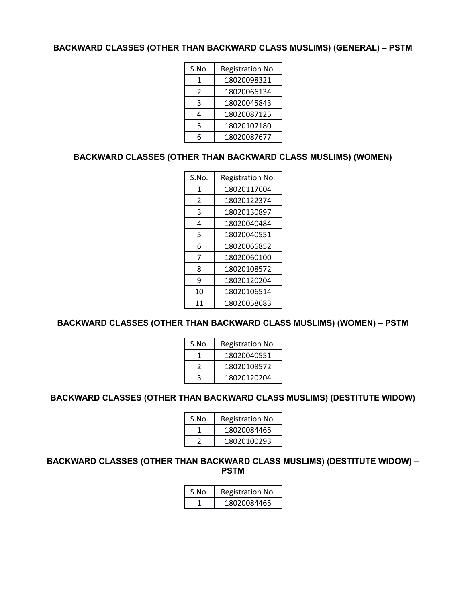#### **BACKWARD CLASSES (OTHER THAN BACKWARD CLASS MUSLIMS) (GENERAL) – PSTM**

| S.No. | Registration No. |
|-------|------------------|
| 1     | 18020098321      |
| 2     | 18020066134      |
| 3     | 18020045843      |
| 4     | 18020087125      |
| 5     | 18020107180      |
| հ     | 18020087677      |

### **BACKWARD CLASSES (OTHER THAN BACKWARD CLASS MUSLIMS) (WOMEN)**

| S.No. | Registration No. |
|-------|------------------|
| 1     | 18020117604      |
| 2     | 18020122374      |
| 3     | 18020130897      |
| 4     | 18020040484      |
| 5     | 18020040551      |
| 6     | 18020066852      |
| 7     | 18020060100      |
| 8     | 18020108572      |
| 9     | 18020120204      |
| 10    | 18020106514      |
| 11    | 18020058683      |

## **BACKWARD CLASSES (OTHER THAN BACKWARD CLASS MUSLIMS) (WOMEN) – PSTM**

| S.No. | Registration No. |
|-------|------------------|
|       | 18020040551      |
|       | 18020108572      |
|       | 18020120204      |

#### **BACKWARD CLASSES (OTHER THAN BACKWARD CLASS MUSLIMS) (DESTITUTE WIDOW)**

| S.No. | Registration No. |
|-------|------------------|
|       | 18020084465      |
|       | 18020100293      |

**BACKWARD CLASSES (OTHER THAN BACKWARD CLASS MUSLIMS) (DESTITUTE WIDOW) – PSTM**

| S.No. | Registration No. |
|-------|------------------|
|       | 18020084465      |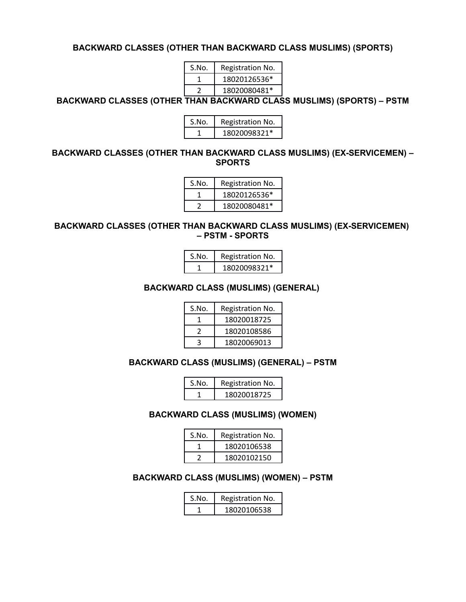#### **BACKWARD CLASSES (OTHER THAN BACKWARD CLASS MUSLIMS) (SPORTS)**

| S.No. | Registration No. |
|-------|------------------|
|       | 18020126536*     |
|       | 18020080481*     |

**BACKWARD CLASSES (OTHER THAN BACKWARD CLASS MUSLIMS) (SPORTS) – PSTM**

| S.No. | Registration No. |
|-------|------------------|
|       | 18020098321*     |

#### **BACKWARD CLASSES (OTHER THAN BACKWARD CLASS MUSLIMS) (EX-SERVICEMEN) – SPORTS**

| S.No. | Registration No. |
|-------|------------------|
|       | 18020126536*     |
|       | 18020080481*     |

#### **BACKWARD CLASSES (OTHER THAN BACKWARD CLASS MUSLIMS) (EX-SERVICEMEN) – PSTM - SPORTS**

| S.No. | Registration No. |
|-------|------------------|
|       | 18020098321*     |

#### **BACKWARD CLASS (MUSLIMS) (GENERAL)**

| S.No. | Registration No. |
|-------|------------------|
|       | 18020018725      |
|       | 18020108586      |
| ર     | 18020069013      |

#### **BACKWARD CLASS (MUSLIMS) (GENERAL) – PSTM**

| S.No. | Registration No. |
|-------|------------------|
|       | 18020018725      |

#### **BACKWARD CLASS (MUSLIMS) (WOMEN)**

| S.No. | Registration No. |
|-------|------------------|
|       | 18020106538      |
|       | 18020102150      |

#### **BACKWARD CLASS (MUSLIMS) (WOMEN) – PSTM**

| S.No. | Registration No. |
|-------|------------------|
|       | 18020106538      |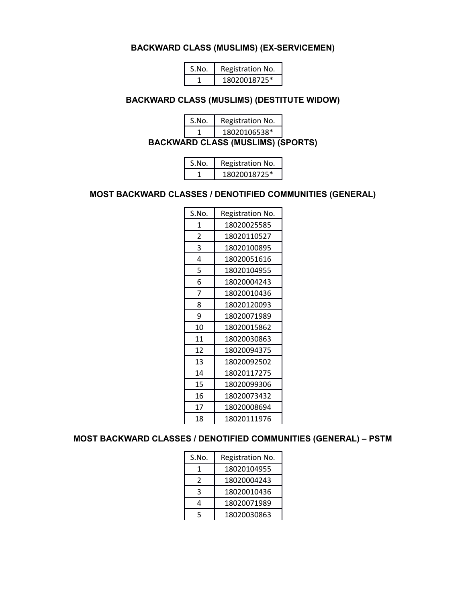#### **BACKWARD CLASS (MUSLIMS) (EX-SERVICEMEN)**

| S.No. | Registration No. |
|-------|------------------|
|       | 18020018725*     |

#### **BACKWARD CLASS (MUSLIMS) (DESTITUTE WIDOW)**

| S.No. | Registration No. |
|-------|------------------|
|       | 18020106538*     |

**BACKWARD CLASS (MUSLIMS) (SPORTS)**

| S.No. | Registration No. |
|-------|------------------|
|       | 18020018725*     |

### **MOST BACKWARD CLASSES / DENOTIFIED COMMUNITIES (GENERAL)**

| S.No.          | Registration No. |
|----------------|------------------|
| 1              | 18020025585      |
| $\overline{2}$ | 18020110527      |
| 3              | 18020100895      |
| 4              | 18020051616      |
| 5              | 18020104955      |
| 6              | 18020004243      |
| 7              | 18020010436      |
| 8              | 18020120093      |
| 9              | 18020071989      |
| 10             | 18020015862      |
| 11             | 18020030863      |
| 12             | 18020094375      |
| 13             | 18020092502      |
| 14             | 18020117275      |
| 15             | 18020099306      |
| 16             | 18020073432      |
| 17             | 18020008694      |
| 18             | 18020111976      |

#### **MOST BACKWARD CLASSES / DENOTIFIED COMMUNITIES (GENERAL) – PSTM**

| S.No. | Registration No. |
|-------|------------------|
|       | 18020104955      |
| 2     | 18020004243      |
| ς     | 18020010436      |
| 4     | 18020071989      |
| 5     | 18020030863      |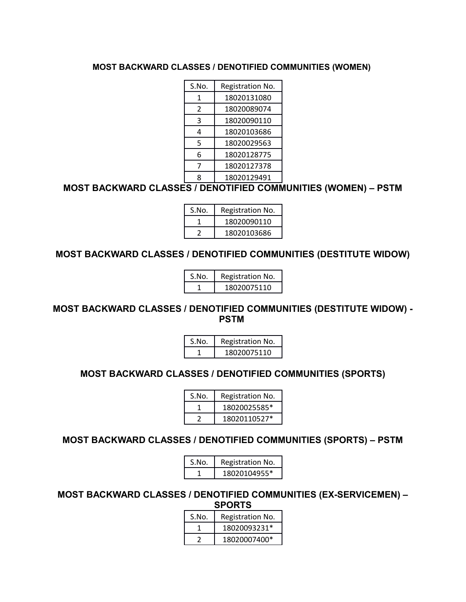### **MOST BACKWARD CLASSES / DENOTIFIED COMMUNITIES (WOMEN)**

| S.No.          | Registration No. |
|----------------|------------------|
| 1              | 18020131080      |
| $\overline{2}$ | 18020089074      |
| 3              | 18020090110      |
| 4              | 18020103686      |
| 5              | 18020029563      |
| 6              | 18020128775      |
| 7              | 18020127378      |
| ጸ              | 18020129491      |

# **MOST BACKWARD CLASSES / DENOTIFIED COMMUNITIES (WOMEN) – PSTM**

| S.No. | Registration No. |
|-------|------------------|
|       | 18020090110      |
|       | 18020103686      |

### **MOST BACKWARD CLASSES / DENOTIFIED COMMUNITIES (DESTITUTE WIDOW)**

| S.No. | Registration No. |
|-------|------------------|
|       | 18020075110      |

### **MOST BACKWARD CLASSES / DENOTIFIED COMMUNITIES (DESTITUTE WIDOW) - PSTM**

| S.No. | Registration No. |
|-------|------------------|
|       | 18020075110      |

# **MOST BACKWARD CLASSES / DENOTIFIED COMMUNITIES (SPORTS)**

| S.No. | Registration No. |
|-------|------------------|
|       | 18020025585*     |
|       | 18020110527*     |

# **MOST BACKWARD CLASSES / DENOTIFIED COMMUNITIES (SPORTS) – PSTM**

| S.No. | Registration No. |
|-------|------------------|
|       | 18020104955*     |

**MOST BACKWARD CLASSES / DENOTIFIED COMMUNITIES (EX-SERVICEMEN) – SPORTS**

| S.No. | Registration No. |
|-------|------------------|
|       | 18020093231*     |
|       | 18020007400*     |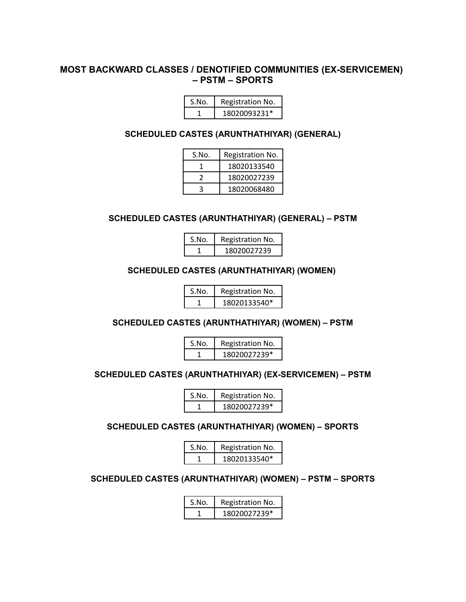### **MOST BACKWARD CLASSES / DENOTIFIED COMMUNITIES (EX-SERVICEMEN) – PSTM – SPORTS**

| S.No. | Registration No. |
|-------|------------------|
|       | 18020093231*     |

#### **SCHEDULED CASTES (ARUNTHATHIYAR) (GENERAL)**

| S.No. | Registration No. |
|-------|------------------|
|       | 18020133540      |
|       | 18020027239      |
|       | 18020068480      |

#### **SCHEDULED CASTES (ARUNTHATHIYAR) (GENERAL) – PSTM**

| S.No. | Registration No. |
|-------|------------------|
|       | 18020027239      |

#### **SCHEDULED CASTES (ARUNTHATHIYAR) (WOMEN)**

| S.No. | Registration No. |
|-------|------------------|
|       | 18020133540*     |

## **SCHEDULED CASTES (ARUNTHATHIYAR) (WOMEN) – PSTM**

| S.No. | Registration No. |
|-------|------------------|
|       | 18020027239*     |

#### **SCHEDULED CASTES (ARUNTHATHIYAR) (EX-SERVICEMEN) – PSTM**

| S.No. | Registration No. |
|-------|------------------|
|       | 18020027239*     |

### **SCHEDULED CASTES (ARUNTHATHIYAR) (WOMEN) – SPORTS**

| S.No. | Registration No. |
|-------|------------------|
|       | 18020133540*     |

#### **SCHEDULED CASTES (ARUNTHATHIYAR) (WOMEN) – PSTM – SPORTS**

| S.No. | Registration No. |
|-------|------------------|
|       | 18020027239*     |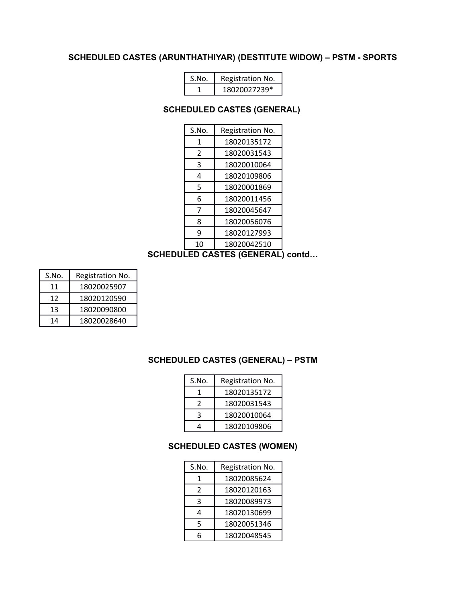### **SCHEDULED CASTES (ARUNTHATHIYAR) (DESTITUTE WIDOW) – PSTM - SPORTS**

| S.No. | Registration No. |
|-------|------------------|
|       | 18020027239*     |

#### **SCHEDULED CASTES (GENERAL)**

| S.No. | Registration No. |
|-------|------------------|
| 1     | 18020135172      |
| 2     | 18020031543      |
| 3     | 18020010064      |
| 4     | 18020109806      |
| 5     | 18020001869      |
| 6     | 18020011456      |
| 7     | 18020045647      |
| 8     | 18020056076      |
| 9     | 18020127993      |
| 10    | 18020042510      |

# **SCHEDULED CASTES (GENERAL) contd…**

| S.No. | Registration No. |
|-------|------------------|
| 11    | 18020025907      |
| 12    | 18020120590      |
| 13    | 18020090800      |
| 14    | 18020028640      |

### **SCHEDULED CASTES (GENERAL) – PSTM**

| S.No. | Registration No. |
|-------|------------------|
|       | 18020135172      |
| 2     | 18020031543      |
| ર     | 18020010064      |
|       | 18020109806      |

#### **SCHEDULED CASTES (WOMEN)**

| S.No. | Registration No. |
|-------|------------------|
|       |                  |
| 1     | 18020085624      |
| 2     | 18020120163      |
| 3     | 18020089973      |
| 4     | 18020130699      |
| 5     | 18020051346      |
| 6     | 18020048545      |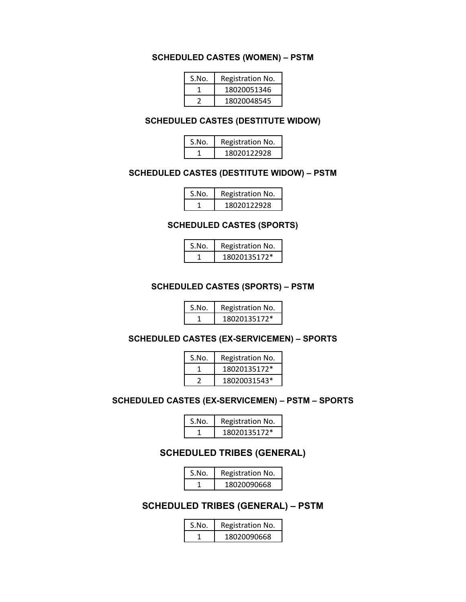# **SCHEDULED CASTES (WOMEN) – PSTM**

| S.No. | Registration No. |
|-------|------------------|
|       | 18020051346      |
|       | 18020048545      |

#### **SCHEDULED CASTES (DESTITUTE WIDOW)**

| S.No. | Registration No. |
|-------|------------------|
|       | 18020122928      |

#### **SCHEDULED CASTES (DESTITUTE WIDOW) – PSTM**

| S.No. | Registration No. |
|-------|------------------|
|       | 18020122928      |

#### **SCHEDULED CASTES (SPORTS)**

| S.No. | Registration No. |
|-------|------------------|
|       | 18020135172*     |

#### **SCHEDULED CASTES (SPORTS) – PSTM**

| S.No. | Registration No. |
|-------|------------------|
|       | 18020135172*     |

### **SCHEDULED CASTES (EX-SERVICEMEN) – SPORTS**

| S.No. | Registration No. |
|-------|------------------|
|       | 18020135172*     |
|       | 18020031543*     |

#### **SCHEDULED CASTES (EX-SERVICEMEN) – PSTM – SPORTS**

| S.No. | Registration No. |
|-------|------------------|
|       | 18020135172*     |

# **SCHEDULED TRIBES (GENERAL)**

| S.No. | Registration No. |
|-------|------------------|
|       | 18020090668      |

# **SCHEDULED TRIBES (GENERAL) – PSTM**

| S.No. | Registration No. |
|-------|------------------|
|       | 18020090668      |